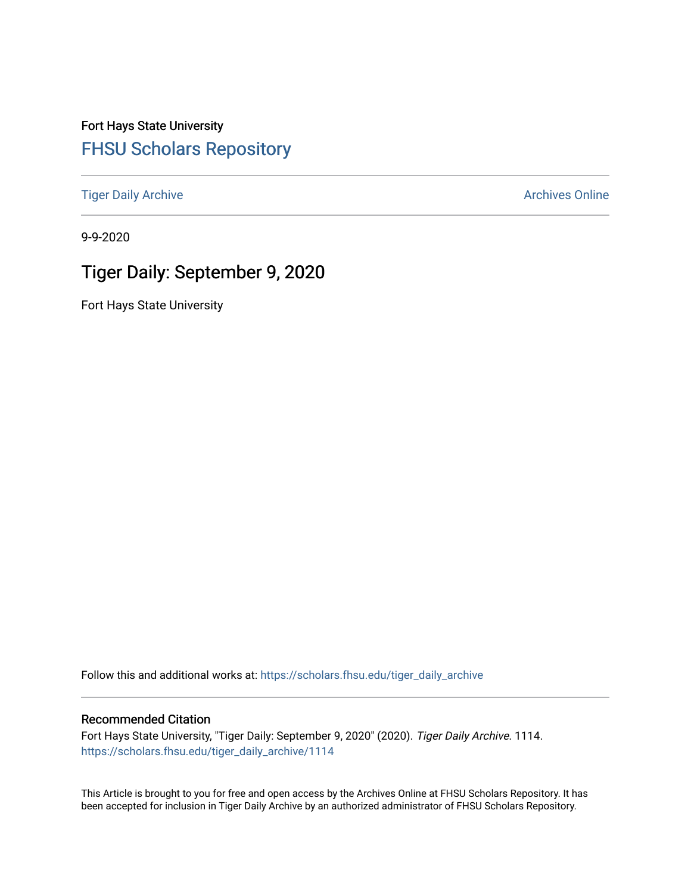Fort Hays State University [FHSU Scholars Repository](https://scholars.fhsu.edu/) 

[Tiger Daily Archive](https://scholars.fhsu.edu/tiger_daily_archive) **Archives** Online Archives Online

9-9-2020

# Tiger Daily: September 9, 2020

Fort Hays State University

Follow this and additional works at: [https://scholars.fhsu.edu/tiger\\_daily\\_archive](https://scholars.fhsu.edu/tiger_daily_archive?utm_source=scholars.fhsu.edu%2Ftiger_daily_archive%2F1114&utm_medium=PDF&utm_campaign=PDFCoverPages)

### Recommended Citation

Fort Hays State University, "Tiger Daily: September 9, 2020" (2020). Tiger Daily Archive. 1114. [https://scholars.fhsu.edu/tiger\\_daily\\_archive/1114](https://scholars.fhsu.edu/tiger_daily_archive/1114?utm_source=scholars.fhsu.edu%2Ftiger_daily_archive%2F1114&utm_medium=PDF&utm_campaign=PDFCoverPages)

This Article is brought to you for free and open access by the Archives Online at FHSU Scholars Repository. It has been accepted for inclusion in Tiger Daily Archive by an authorized administrator of FHSU Scholars Repository.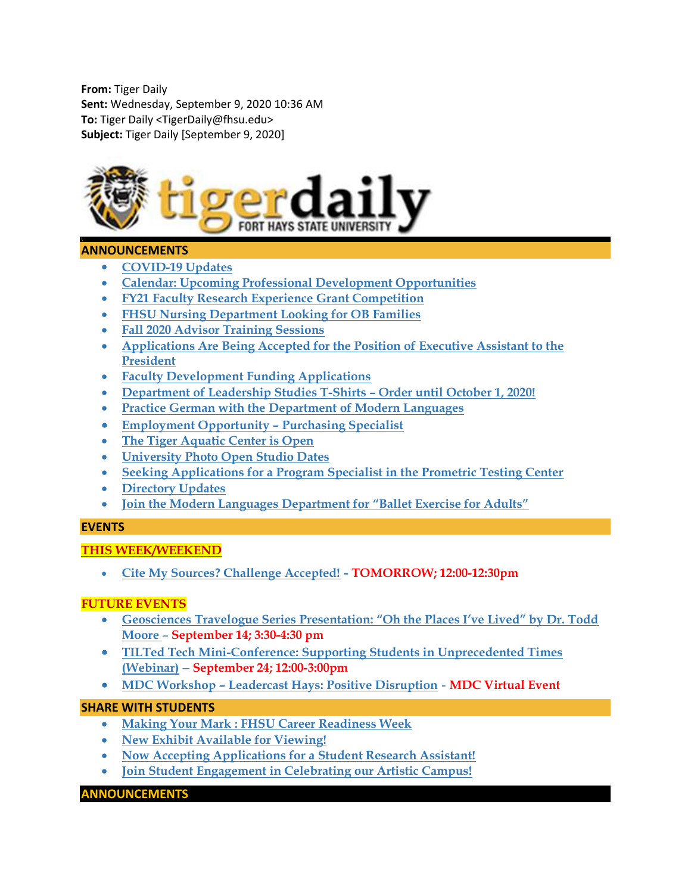From: Tiger Daily Sent: Wednesday, September 9, 2020 10:36 AM To: Tiger Daily <TigerDaily@fhsu.edu> Subject: Tiger Daily [September 9, 2020]



# ANNOUNCEMENTS

- COVID-19 Updates
- Calendar: Upcoming Professional Development Opportunities
- FY21 Faculty Research Experience Grant Competition
- FHSU Nursing Department Looking for OB Families
- Fall 2020 Advisor Training Sessions
- Applications Are Being Accepted for the Position of Executive Assistant to the President
- Faculty Development Funding Applications
- Department of Leadership Studies T-Shirts Order until October 1, 2020!
- Practice German with the Department of Modern Languages
- Employment Opportunity Purchasing Specialist
- The Tiger Aquatic Center is Open
- University Photo Open Studio Dates
- Seeking Applications for a Program Specialist in the Prometric Testing Center
- Directory Updates
- Join the Modern Languages Department for "Ballet Exercise for Adults"

# EVENTS

# THIS WEEK/WEEKEND

Cite My Sources? Challenge Accepted! - TOMORROW; 12:00-12:30pm

# FUTURE EVENTS

- Geosciences Travelogue Series Presentation: "Oh the Places I've Lived" by Dr. Todd Moore – September 14; 3:30-4:30 pm
- TILTed Tech Mini-Conference: Supporting Students in Unprecedented Times (Webinar) – September 24; 12:00-3:00pm
- MDC Workshop Leadercast Hays: Positive Disruption MDC Virtual Event

# SHARE WITH STUDENTS

- Making Your Mark : FHSU Career Readiness Week
- New Exhibit Available for Viewing!
- Now Accepting Applications for a Student Research Assistant!
- Join Student Engagement in Celebrating our Artistic Campus!

### ANNOUNCEMENTS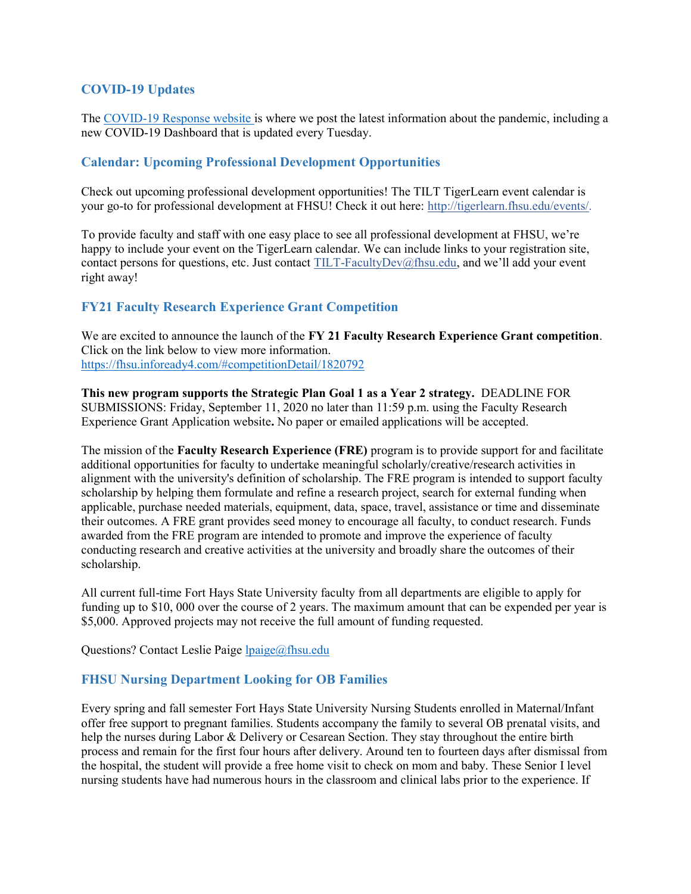# COVID-19 Updates

The COVID-19 Response website is where we post the latest information about the pandemic, including a new COVID-19 Dashboard that is updated every Tuesday.

# Calendar: Upcoming Professional Development Opportunities

Check out upcoming professional development opportunities! The TILT TigerLearn event calendar is your go-to for professional development at FHSU! Check it out here: http://tigerlearn.fhsu.edu/events/.

To provide faculty and staff with one easy place to see all professional development at FHSU, we're happy to include your event on the TigerLearn calendar. We can include links to your registration site, contact persons for questions, etc. Just contact TILT-FacultyDev@fhsu.edu, and we'll add your event right away!

# FY21 Faculty Research Experience Grant Competition

We are excited to announce the launch of the FY 21 Faculty Research Experience Grant competition. Click on the link below to view more information. https://fhsu.infoready4.com/#competitionDetail/1820792

This new program supports the Strategic Plan Goal 1 as a Year 2 strategy. DEADLINE FOR SUBMISSIONS: Friday, September 11, 2020 no later than 11:59 p.m. using the Faculty Research Experience Grant Application website. No paper or emailed applications will be accepted.

The mission of the **Faculty Research Experience (FRE)** program is to provide support for and facilitate additional opportunities for faculty to undertake meaningful scholarly/creative/research activities in alignment with the university's definition of scholarship. The FRE program is intended to support faculty scholarship by helping them formulate and refine a research project, search for external funding when applicable, purchase needed materials, equipment, data, space, travel, assistance or time and disseminate their outcomes. A FRE grant provides seed money to encourage all faculty, to conduct research. Funds awarded from the FRE program are intended to promote and improve the experience of faculty conducting research and creative activities at the university and broadly share the outcomes of their scholarship.

All current full-time Fort Hays State University faculty from all departments are eligible to apply for funding up to \$10, 000 over the course of 2 years. The maximum amount that can be expended per year is \$5,000. Approved projects may not receive the full amount of funding requested.

Questions? Contact Leslie Paige lpaige@fhsu.edu

# FHSU Nursing Department Looking for OB Families

Every spring and fall semester Fort Hays State University Nursing Students enrolled in Maternal/Infant offer free support to pregnant families. Students accompany the family to several OB prenatal visits, and help the nurses during Labor & Delivery or Cesarean Section. They stay throughout the entire birth process and remain for the first four hours after delivery. Around ten to fourteen days after dismissal from the hospital, the student will provide a free home visit to check on mom and baby. These Senior I level nursing students have had numerous hours in the classroom and clinical labs prior to the experience. If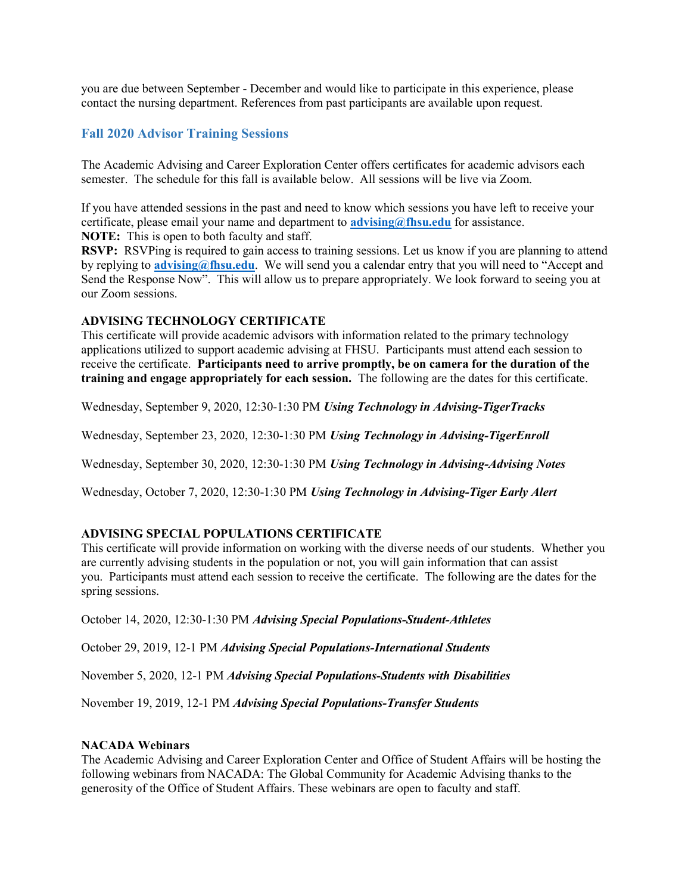you are due between September - December and would like to participate in this experience, please contact the nursing department. References from past participants are available upon request.

### Fall 2020 Advisor Training Sessions

The Academic Advising and Career Exploration Center offers certificates for academic advisors each semester. The schedule for this fall is available below. All sessions will be live via Zoom.

If you have attended sessions in the past and need to know which sessions you have left to receive your certificate, please email your name and department to  $\frac{advising@fhsu.edu}{advising@fhsu.edu}$  for assistance. NOTE: This is open to both faculty and staff.

RSVP: RSVPing is required to gain access to training sessions. Let us know if you are planning to attend by replying to **advising@fhsu.edu**. We will send you a calendar entry that you will need to "Accept and Send the Response Now". This will allow us to prepare appropriately. We look forward to seeing you at our Zoom sessions.

#### ADVISING TECHNOLOGY CERTIFICATE

This certificate will provide academic advisors with information related to the primary technology applications utilized to support academic advising at FHSU. Participants must attend each session to receive the certificate. Participants need to arrive promptly, be on camera for the duration of the training and engage appropriately for each session. The following are the dates for this certificate.

Wednesday, September 9, 2020, 12:30-1:30 PM Using Technology in Advising-TigerTracks

Wednesday, September 23, 2020, 12:30-1:30 PM Using Technology in Advising-TigerEnroll

Wednesday, September 30, 2020, 12:30-1:30 PM Using Technology in Advising-Advising Notes

Wednesday, October 7, 2020, 12:30-1:30 PM Using Technology in Advising-Tiger Early Alert

#### ADVISING SPECIAL POPULATIONS CERTIFICATE

This certificate will provide information on working with the diverse needs of our students. Whether you are currently advising students in the population or not, you will gain information that can assist you. Participants must attend each session to receive the certificate. The following are the dates for the spring sessions.

October 14, 2020, 12:30-1:30 PM Advising Special Populations-Student-Athletes

October 29, 2019, 12-1 PM Advising Special Populations-International Students

November 5, 2020, 12-1 PM Advising Special Populations-Students with Disabilities

November 19, 2019, 12-1 PM Advising Special Populations-Transfer Students

#### NACADA Webinars

The Academic Advising and Career Exploration Center and Office of Student Affairs will be hosting the following webinars from NACADA: The Global Community for Academic Advising thanks to the generosity of the Office of Student Affairs. These webinars are open to faculty and staff.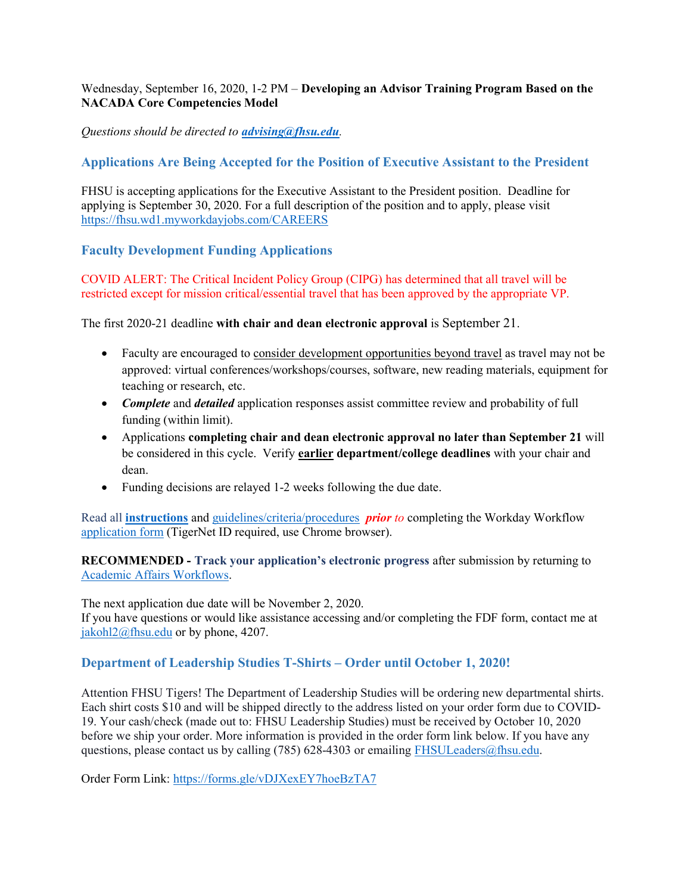### Wednesday, September 16, 2020, 1-2 PM – Developing an Advisor Training Program Based on the NACADA Core Competencies Model

# Questions should be directed to *advising@fhsu.edu.*

# Applications Are Being Accepted for the Position of Executive Assistant to the President

FHSU is accepting applications for the Executive Assistant to the President position. Deadline for applying is September 30, 2020. For a full description of the position and to apply, please visit https://fhsu.wd1.myworkdayjobs.com/CAREERS

# Faculty Development Funding Applications

COVID ALERT: The Critical Incident Policy Group (CIPG) has determined that all travel will be restricted except for mission critical/essential travel that has been approved by the appropriate VP.

The first 2020-21 deadline with chair and dean electronic approval is September 21.

- Faculty are encouraged to consider development opportunities beyond travel as travel may not be approved: virtual conferences/workshops/courses, software, new reading materials, equipment for teaching or research, etc.
- Complete and detailed application responses assist committee review and probability of full funding (within limit).
- Applications completing chair and dean electronic approval no later than September 21 will be considered in this cycle. Verify earlier department/college deadlines with your chair and dean.
- Funding decisions are relayed 1-2 weeks following the due date.

Read all **instructions** and guidelines/criteria/procedures *prior to* completing the Workday Workflow application form (TigerNet ID required, use Chrome browser).

RECOMMENDED - Track your application's electronic progress after submission by returning to Academic Affairs Workflows.

The next application due date will be November 2, 2020.

If you have questions or would like assistance accessing and/or completing the FDF form, contact me at jakohl2@fhsu.edu or by phone, 4207.

# Department of Leadership Studies T-Shirts – Order until October 1, 2020!

Attention FHSU Tigers! The Department of Leadership Studies will be ordering new departmental shirts. Each shirt costs \$10 and will be shipped directly to the address listed on your order form due to COVID-19. Your cash/check (made out to: FHSU Leadership Studies) must be received by October 10, 2020 before we ship your order. More information is provided in the order form link below. If you have any questions, please contact us by calling (785) 628-4303 or emailing FHSULeaders@fhsu.edu.

Order Form Link: https://forms.gle/vDJXexEY7hoeBzTA7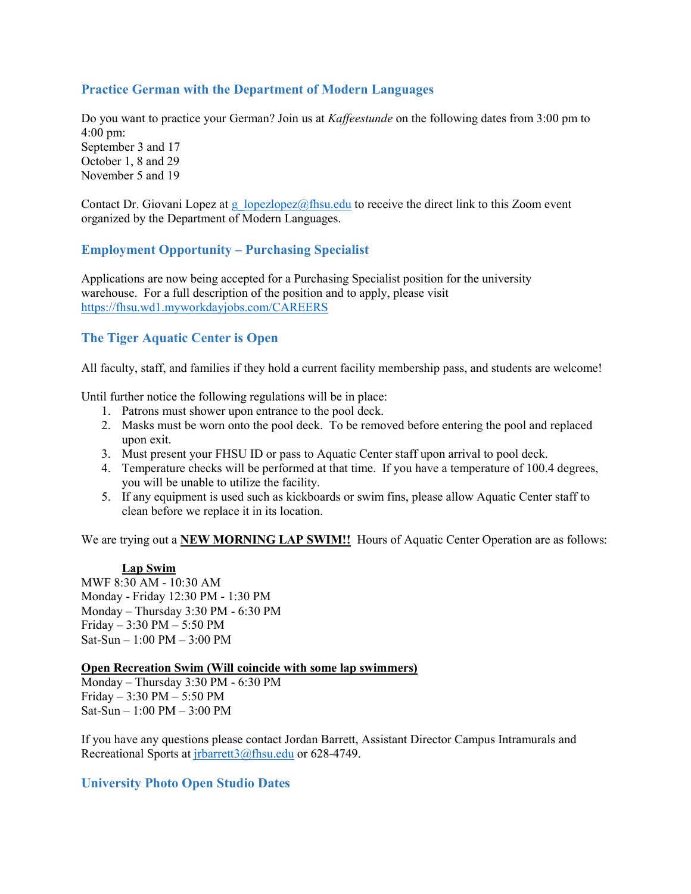# Practice German with the Department of Modern Languages

Do you want to practice your German? Join us at *Kaffeestunde* on the following dates from 3:00 pm to 4:00 pm:

September 3 and 17 October 1, 8 and 29 November 5 and 19

Contact Dr. Giovani Lopez at g\_lopezlopez@fhsu.edu to receive the direct link to this Zoom event organized by the Department of Modern Languages.

# Employment Opportunity – Purchasing Specialist

Applications are now being accepted for a Purchasing Specialist position for the university warehouse. For a full description of the position and to apply, please visit https://fhsu.wd1.myworkdayjobs.com/CAREERS

# The Tiger Aquatic Center is Open

All faculty, staff, and families if they hold a current facility membership pass, and students are welcome!

Until further notice the following regulations will be in place:

- 1. Patrons must shower upon entrance to the pool deck.
- 2. Masks must be worn onto the pool deck. To be removed before entering the pool and replaced upon exit.
- 3. Must present your FHSU ID or pass to Aquatic Center staff upon arrival to pool deck.
- 4. Temperature checks will be performed at that time. If you have a temperature of 100.4 degrees, you will be unable to utilize the facility.
- 5. If any equipment is used such as kickboards or swim fins, please allow Aquatic Center staff to clean before we replace it in its location.

We are trying out a NEW MORNING LAP SWIM!! Hours of Aquatic Center Operation are as follows:

#### Lap Swim

MWF 8:30 AM - 10:30 AM Monday - Friday 12:30 PM - 1:30 PM Monday – Thursday 3:30 PM - 6:30 PM Friday – 3:30 PM – 5:50 PM Sat-Sun – 1:00 PM – 3:00 PM

#### Open Recreation Swim (Will coincide with some lap swimmers)

Monday – Thursday 3:30 PM - 6:30 PM Friday – 3:30 PM – 5:50 PM Sat-Sun – 1:00 PM – 3:00 PM

If you have any questions please contact Jordan Barrett, Assistant Director Campus Intramurals and Recreational Sports at jrbarrett3@fhsu.edu or 628-4749.

### University Photo Open Studio Dates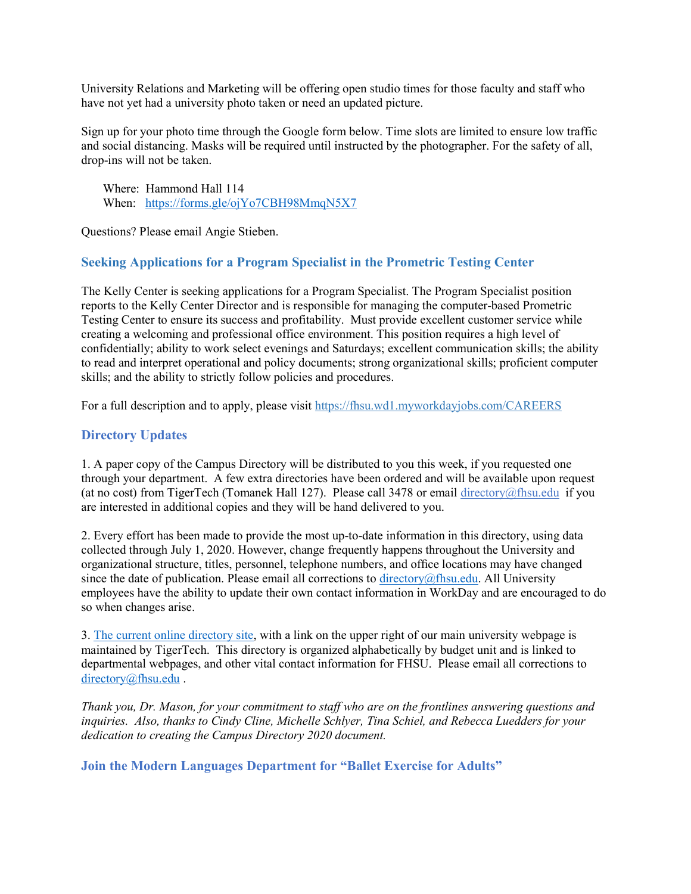University Relations and Marketing will be offering open studio times for those faculty and staff who have not yet had a university photo taken or need an updated picture.

Sign up for your photo time through the Google form below. Time slots are limited to ensure low traffic and social distancing. Masks will be required until instructed by the photographer. For the safety of all, drop-ins will not be taken.

 Where: Hammond Hall 114 When: https://forms.gle/ojYo7CBH98MmqN5X7

Questions? Please email Angie Stieben.

# Seeking Applications for a Program Specialist in the Prometric Testing Center

The Kelly Center is seeking applications for a Program Specialist. The Program Specialist position reports to the Kelly Center Director and is responsible for managing the computer-based Prometric Testing Center to ensure its success and profitability. Must provide excellent customer service while creating a welcoming and professional office environment. This position requires a high level of confidentially; ability to work select evenings and Saturdays; excellent communication skills; the ability to read and interpret operational and policy documents; strong organizational skills; proficient computer skills; and the ability to strictly follow policies and procedures.

For a full description and to apply, please visit https://fhsu.wd1.myworkdayjobs.com/CAREERS

# Directory Updates

1. A paper copy of the Campus Directory will be distributed to you this week, if you requested one through your department. A few extra directories have been ordered and will be available upon request (at no cost) from TigerTech (Tomanek Hall 127). Please call 3478 or email directory@fhsu.edu if you are interested in additional copies and they will be hand delivered to you.

2. Every effort has been made to provide the most up-to-date information in this directory, using data collected through July 1, 2020. However, change frequently happens throughout the University and organizational structure, titles, personnel, telephone numbers, and office locations may have changed since the date of publication. Please email all corrections to directory@fhsu.edu. All University employees have the ability to update their own contact information in WorkDay and are encouraged to do so when changes arise.

3. The current online directory site, with a link on the upper right of our main university webpage is maintained by TigerTech. This directory is organized alphabetically by budget unit and is linked to departmental webpages, and other vital contact information for FHSU. Please email all corrections to directory@fhsu.edu .

Thank you, Dr. Mason, for your commitment to staff who are on the frontlines answering questions and inquiries. Also, thanks to Cindy Cline, Michelle Schlyer, Tina Schiel, and Rebecca Luedders for your dedication to creating the Campus Directory 2020 document.

Join the Modern Languages Department for "Ballet Exercise for Adults"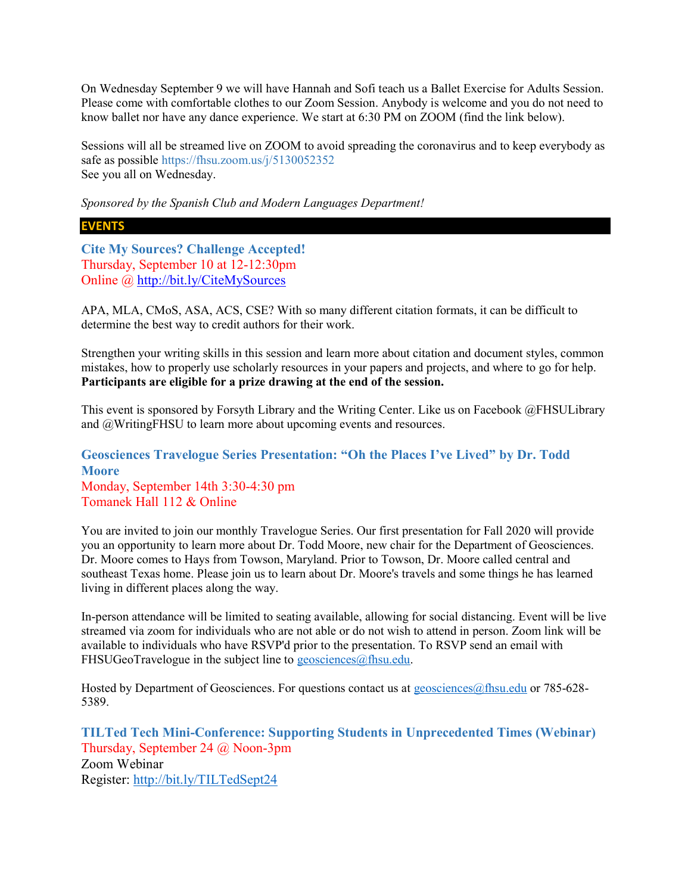On Wednesday September 9 we will have Hannah and Sofi teach us a Ballet Exercise for Adults Session. Please come with comfortable clothes to our Zoom Session. Anybody is welcome and you do not need to know ballet nor have any dance experience. We start at 6:30 PM on ZOOM (find the link below).

Sessions will all be streamed live on ZOOM to avoid spreading the coronavirus and to keep everybody as safe as possible https://fhsu.zoom.us/j/5130052352 See you all on Wednesday.

Sponsored by the Spanish Club and Modern Languages Department!

### EVENTS

Cite My Sources? Challenge Accepted! Thursday, September 10 at 12-12:30pm Online @ http://bit.ly/CiteMySources

APA, MLA, CMoS, ASA, ACS, CSE? With so many different citation formats, it can be difficult to determine the best way to credit authors for their work.

Strengthen your writing skills in this session and learn more about citation and document styles, common mistakes, how to properly use scholarly resources in your papers and projects, and where to go for help. Participants are eligible for a prize drawing at the end of the session.

This event is sponsored by Forsyth Library and the Writing Center. Like us on Facebook @FHSULibrary and @WritingFHSU to learn more about upcoming events and resources.

# Geosciences Travelogue Series Presentation: "Oh the Places I've Lived" by Dr. Todd **Moore**

Monday, September 14th 3:30-4:30 pm Tomanek Hall 112 & Online

You are invited to join our monthly Travelogue Series. Our first presentation for Fall 2020 will provide you an opportunity to learn more about Dr. Todd Moore, new chair for the Department of Geosciences. Dr. Moore comes to Hays from Towson, Maryland. Prior to Towson, Dr. Moore called central and southeast Texas home. Please join us to learn about Dr. Moore's travels and some things he has learned living in different places along the way.

In-person attendance will be limited to seating available, allowing for social distancing. Event will be live streamed via zoom for individuals who are not able or do not wish to attend in person. Zoom link will be available to individuals who have RSVP'd prior to the presentation. To RSVP send an email with FHSUGeoTravelogue in the subject line to geosciences@fhsu.edu.

Hosted by Department of Geosciences. For questions contact us at geosciences@fhsu.edu or 785-628-5389.

TILTed Tech Mini-Conference: Supporting Students in Unprecedented Times (Webinar) Thursday, September 24 @ Noon-3pm Zoom Webinar Register: http://bit.ly/TILTedSept24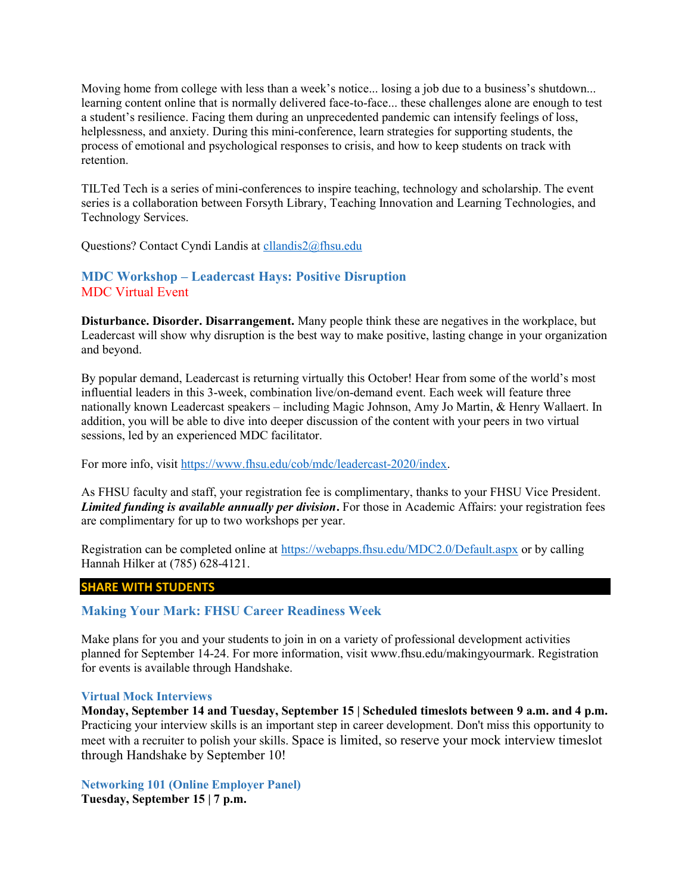Moving home from college with less than a week's notice... losing a job due to a business's shutdown... learning content online that is normally delivered face-to-face... these challenges alone are enough to test a student's resilience. Facing them during an unprecedented pandemic can intensify feelings of loss, helplessness, and anxiety. During this mini-conference, learn strategies for supporting students, the process of emotional and psychological responses to crisis, and how to keep students on track with retention.

TILTed Tech is a series of mini-conferences to inspire teaching, technology and scholarship. The event series is a collaboration between Forsyth Library, Teaching Innovation and Learning Technologies, and Technology Services.

Questions? Contact Cyndi Landis at cllandis2@fhsu.edu

# MDC Workshop – Leadercast Hays: Positive Disruption MDC Virtual Event

Disturbance. Disorder. Disarrangement. Many people think these are negatives in the workplace, but Leadercast will show why disruption is the best way to make positive, lasting change in your organization and beyond.

By popular demand, Leadercast is returning virtually this October! Hear from some of the world's most influential leaders in this 3-week, combination live/on-demand event. Each week will feature three nationally known Leadercast speakers – including Magic Johnson, Amy Jo Martin, & Henry Wallaert. In addition, you will be able to dive into deeper discussion of the content with your peers in two virtual sessions, led by an experienced MDC facilitator.

For more info, visit https://www.fhsu.edu/cob/mdc/leadercast-2020/index.

As FHSU faculty and staff, your registration fee is complimentary, thanks to your FHSU Vice President. Limited funding is available annually per division. For those in Academic Affairs: your registration fees are complimentary for up to two workshops per year.

Registration can be completed online at https://webapps.fhsu.edu/MDC2.0/Default.aspx or by calling Hannah Hilker at (785) 628-4121.

### SHARE WITH STUDENTS

### Making Your Mark: FHSU Career Readiness Week

Make plans for you and your students to join in on a variety of professional development activities planned for September 14-24. For more information, visit www.fhsu.edu/makingyourmark. Registration for events is available through Handshake.

#### Virtual Mock Interviews

Monday, September 14 and Tuesday, September 15 | Scheduled timeslots between 9 a.m. and 4 p.m. Practicing your interview skills is an important step in career development. Don't miss this opportunity to meet with a recruiter to polish your skills. Space is limited, so reserve your mock interview timeslot through Handshake by September 10!

Networking 101 (Online Employer Panel) Tuesday, September 15 | 7 p.m.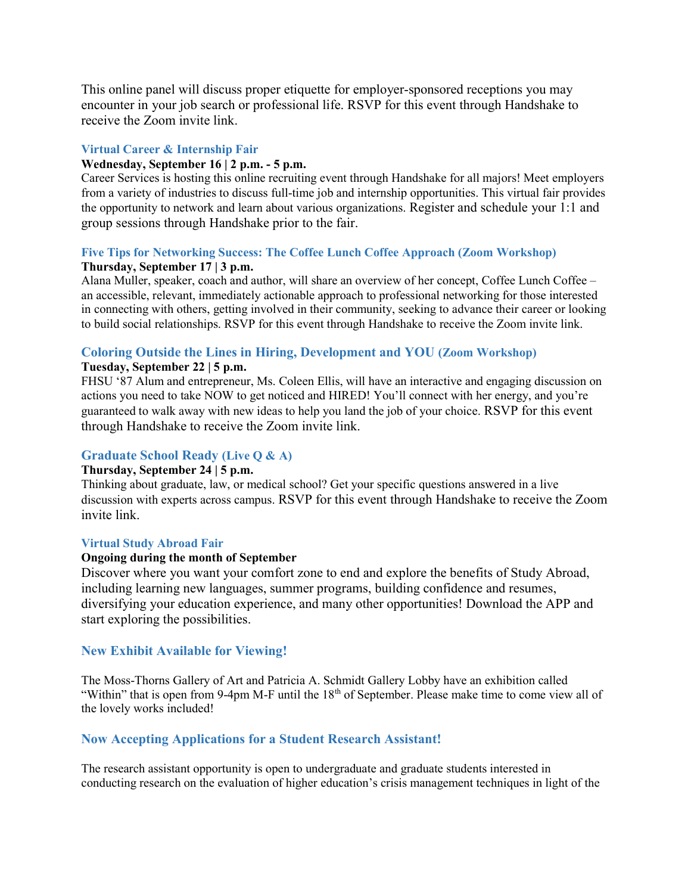This online panel will discuss proper etiquette for employer-sponsored receptions you may encounter in your job search or professional life. RSVP for this event through Handshake to receive the Zoom invite link.

### Virtual Career & Internship Fair

#### Wednesday, September 16 | 2 p.m. - 5 p.m.

Career Services is hosting this online recruiting event through Handshake for all majors! Meet employers from a variety of industries to discuss full-time job and internship opportunities. This virtual fair provides the opportunity to network and learn about various organizations. Register and schedule your 1:1 and group sessions through Handshake prior to the fair.

#### Five Tips for Networking Success: The Coffee Lunch Coffee Approach (Zoom Workshop) Thursday, September 17 | 3 p.m.

Alana Muller, speaker, coach and author, will share an overview of her concept, Coffee Lunch Coffee – an accessible, relevant, immediately actionable approach to professional networking for those interested in connecting with others, getting involved in their community, seeking to advance their career or looking to build social relationships. RSVP for this event through Handshake to receive the Zoom invite link.

# Coloring Outside the Lines in Hiring, Development and YOU (Zoom Workshop)

#### Tuesday, September 22 | 5 p.m.

FHSU '87 Alum and entrepreneur, Ms. Coleen Ellis, will have an interactive and engaging discussion on actions you need to take NOW to get noticed and HIRED! You'll connect with her energy, and you're guaranteed to walk away with new ideas to help you land the job of your choice. RSVP for this event through Handshake to receive the Zoom invite link.

### Graduate School Ready (Live Q & A)

### Thursday, September 24 | 5 p.m.

Thinking about graduate, law, or medical school? Get your specific questions answered in a live discussion with experts across campus. RSVP for this event through Handshake to receive the Zoom invite link.

### Virtual Study Abroad Fair

#### Ongoing during the month of September

Discover where you want your comfort zone to end and explore the benefits of Study Abroad, including learning new languages, summer programs, building confidence and resumes, diversifying your education experience, and many other opportunities! Download the APP and start exploring the possibilities.

### New Exhibit Available for Viewing!

The Moss-Thorns Gallery of Art and Patricia A. Schmidt Gallery Lobby have an exhibition called "Within" that is open from 9-4pm M-F until the 18<sup>th</sup> of September. Please make time to come view all of the lovely works included!

### Now Accepting Applications for a Student Research Assistant!

The research assistant opportunity is open to undergraduate and graduate students interested in conducting research on the evaluation of higher education's crisis management techniques in light of the